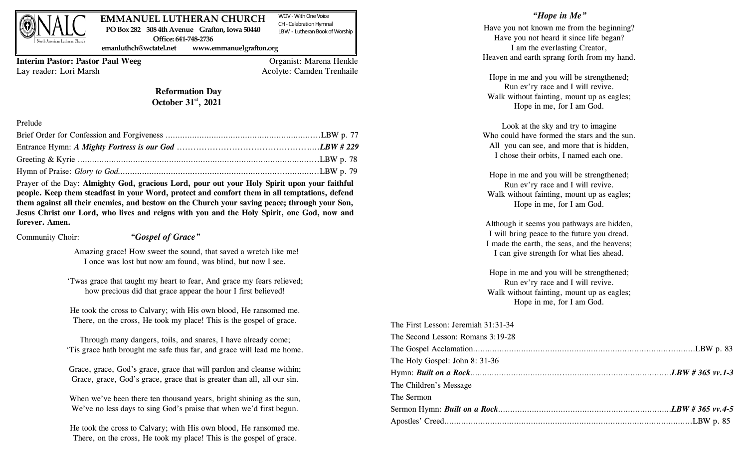

#### WOV -With One Voice **EMMANUEL LUTHERAN CHURCH PO Box 282 308 4th Avenue Grafton, Iowa 50440**

CH -Celebration Hymnal LBW - Lutheran Book of Worship

**emanluthch@wctatel.net www.emmanuelgrafton.org**

**Office: 641-748-2736** 

**Interim Pastor: Pastor Paul Weeg** Organist: Marena Henkle Lay reader: Lori Marsh Acolyte: Camden Trenhaile

## **Reformation Day October 31st , 2021**

#### Prelude

Prayer of the Day: **Almighty God, gracious Lord, pour out your Holy Spirit upon your faithful people. Keep them steadfast in your Word, protect and comfort them in all temptations, defend them against all their enemies, and bestow on the Church your saving peace; through your Son, Jesus Christ our Lord, who lives and reigns with you and the Holy Spirit, one God, now and forever. Amen.**

Community Choir: *"Gospel of Grace"*

Amazing grace! How sweet the sound, that saved a wretch like me! I once was lost but now am found, was blind, but now I see.

'Twas grace that taught my heart to fear, And grace my fears relieved; how precious did that grace appear the hour I first believed!

He took the cross to Calvary; with His own blood, He ransomed me. There, on the cross, He took my place! This is the gospel of grace.

Through many dangers, toils, and snares, I have already come; 'Tis grace hath brought me safe thus far, and grace will lead me home.

Grace, grace, God's grace, grace that will pardon and cleanse within; Grace, grace, God's grace, grace that is greater than all, all our sin.

When we've been there ten thousand years, bright shining as the sun, We've no less days to sing God's praise that when we'd first begun.

He took the cross to Calvary; with His own blood, He ransomed me. There, on the cross, He took my place! This is the gospel of grace.

### *"Hope in Me"*

Have you not known me from the beginning? Have you not heard it since life began? I am the everlasting Creator, Heaven and earth sprang forth from my hand.

Hope in me and you will be strengthened; Run ev'ry race and I will revive. Walk without fainting, mount up as eagles; Hope in me, for I am God.

Look at the sky and try to imagine Who could have formed the stars and the sun. All you can see, and more that is hidden, I chose their orbits, I named each one.

Hope in me and you will be strengthened; Run ev'ry race and I will revive. Walk without fainting, mount up as eagles; Hope in me, for I am God.

Although it seems you pathways are hidden, I will bring peace to the future you dread. I made the earth, the seas, and the heavens; I can give strength for what lies ahead.

Hope in me and you will be strengthened; Run ev'ry race and I will revive. Walk without fainting, mount up as eagles; Hope in me, for I am God.

| The First Lesson: Jeremiah $31:31-34$ |  |
|---------------------------------------|--|
| The Second Lesson: Romans 3:19-28     |  |
|                                       |  |
| The Holy Gospel: John 8: 31-36        |  |
|                                       |  |
| The Children's Message                |  |
| The Sermon                            |  |
|                                       |  |
|                                       |  |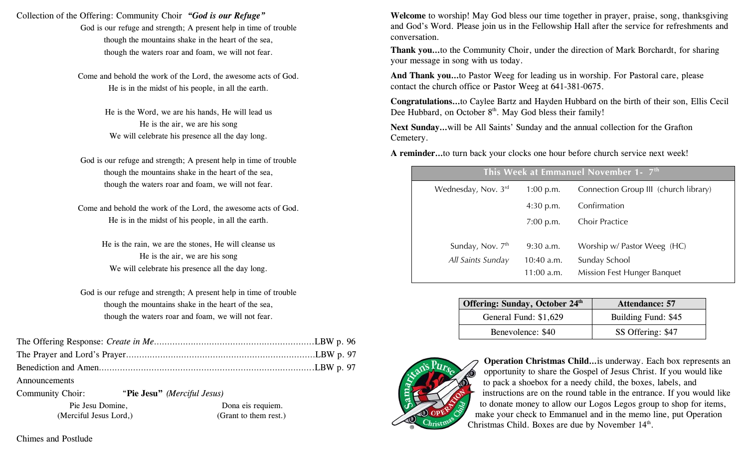Collection of the Offering: Community Choir *"God is our Refuge"*

God is our refuge and strength; A present help in time of trouble though the mountains shake in the heart of the sea, though the waters roar and foam, we will not fear.

Come and behold the work of the Lord, the awesome acts of God. He is in the midst of his people, in all the earth.

> He is the Word, we are his hands, He will lead us He is the air, we are his song We will celebrate his presence all the day long.

God is our refuge and strength; A present help in time of trouble though the mountains shake in the heart of the sea, though the waters roar and foam, we will not fear.

Come and behold the work of the Lord, the awesome acts of God. He is in the midst of his people, in all the earth.

> He is the rain, we are the stones, He will cleanse us He is the air, we are his song We will celebrate his presence all the day long.

God is our refuge and strength; A present help in time of trouble though the mountains shake in the heart of the sea, though the waters roar and foam, we will not fear.

| Announcements |  |
|---------------|--|

Community Choir: "**Pie Jesu"** *(Merciful Jesus)*

 Pie Jesu Domine, Dona eis requiem. (Merciful Jesus Lord,) (Grant to them rest.) **Welcome** to worship! May God bless our time together in prayer, praise, song, thanksgiving and God's Word. Please join us in the Fellowship Hall after the service for refreshments and conversation.

**Thank you…**to the Community Choir, under the direction of Mark Borchardt, for sharing your message in song with us today.

**And Thank you…**to Pastor Weeg for leading us in worship. For Pastoral care, please contact the church office or Pastor Weeg at 641-381-0675.

**Congratulations…**to Caylee Bartz and Hayden Hubbard on the birth of their son, Ellis Cecil Dee Hubbard, on October  $8<sup>th</sup>$ . May God bless their family!

**Next Sunday…**will be All Saints' Sunday and the annual collection for the Grafton Cemetery.

**A reminder…**to turn back your clocks one hour before church service next week!

| This Week at Emmanuel November 1- 7 <sup>th</sup> |                                             |                                                                             |  |  |  |
|---------------------------------------------------|---------------------------------------------|-----------------------------------------------------------------------------|--|--|--|
| Wednesday, Nov. $3^{\text{rd}}$                   | $1:00$ p.m.                                 | Connection Group III (church library)                                       |  |  |  |
|                                                   | $4:30$ p.m.                                 | Confirmation                                                                |  |  |  |
|                                                   | $7:00$ p.m.                                 | <b>Choir Practice</b>                                                       |  |  |  |
| Sunday, Nov. 7th<br>All Saints Sunday             | $9:30$ a.m.<br>$10:40$ a.m.<br>$11:00$ a.m. | Worship w/ Pastor Weeg (HC)<br>Sunday School<br>Mission Fest Hunger Banquet |  |  |  |

| Offering: Sunday, October 24th | <b>Attendance: 57</b> |
|--------------------------------|-----------------------|
| General Fund: \$1,629          | Building Fund: \$45   |
| Benevolence: \$40              | SS Offering: \$47     |



**Operation Christmas Child…**is underway. Each box represents an opportunity to share the Gospel of Jesus Christ. If you would like to pack a shoebox for a needy child, the boxes, labels, and instructions are on the round table in the entrance. If you would like to donate money to allow our Logos Legos group to shop for items, make your check to Emmanuel and in the memo line, put Operation Christmas Child. Boxes are due by November 14<sup>th</sup>.

Chimes and Postlude